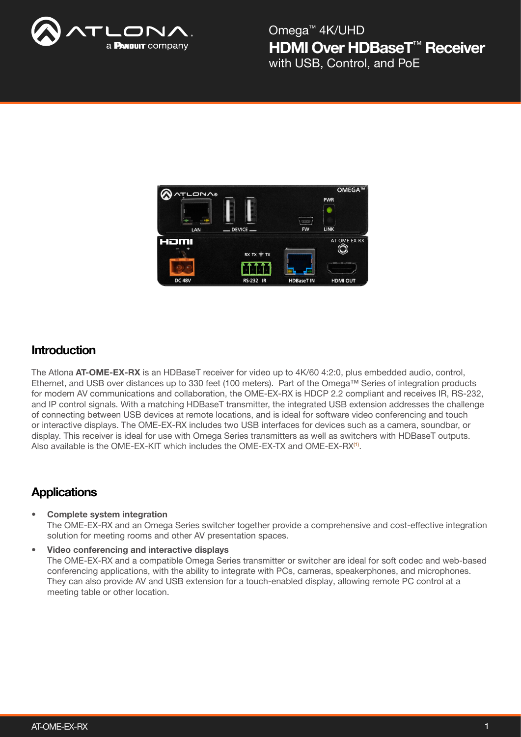

HDMI Over HDBaseT<sup>™</sup> Receiver Omega™ 4K/UHD with USB, Control, and PoE



## **Introduction**

The Atlona AT-OME-EX-RX is an HDBaseT receiver for video up to 4K/60 4:2:0, plus embedded audio, control, Ethernet, and USB over distances up to 330 feet (100 meters). Part of the Omega™ Series of integration products for modern AV communications and collaboration, the OME-EX-RX is HDCP 2.2 compliant and receives IR, RS-232, and IP control signals. With a matching HDBaseT transmitter, the integrated USB extension addresses the challenge of connecting between USB devices at remote locations, and is ideal for software video conferencing and touch or interactive displays. The OME-EX-RX includes two USB interfaces for devices such as a camera, soundbar, or display. This receiver is ideal for use with Omega Series transmitters as well as switchers with HDBaseT outputs. Also available is the OME-EX-KIT which includes the OME-EX-TX and OME-EX-RX(1).

## **Applications**

• Complete system integration The OME-EX-RX and an Omega Series switcher together provide a comprehensive and cost-effective integration solution for meeting rooms and other AV presentation spaces.

## • Video conferencing and interactive displays

The OME-EX-RX and a compatible Omega Series transmitter or switcher are ideal for soft codec and web-based conferencing applications, with the ability to integrate with PCs, cameras, speakerphones, and microphones. They can also provide AV and USB extension for a touch-enabled display, allowing remote PC control at a meeting table or other location.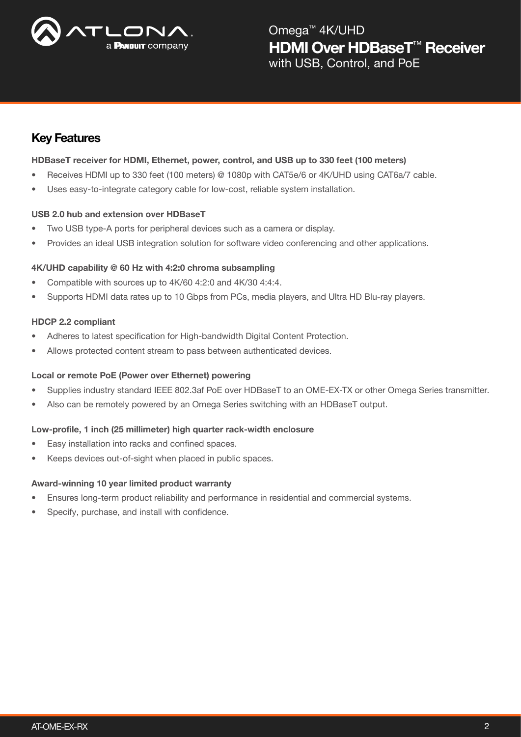

HDMI Over HDBaseT<sup>™</sup> Receiver Omega™ 4K/UHD with USB, Control, and PoE

## Key Features

## HDBaseT receiver for HDMI, Ethernet, power, control, and USB up to 330 feet (100 meters)

- Receives HDMI up to 330 feet (100 meters) @ 1080p with CAT5e/6 or 4K/UHD using CAT6a/7 cable.
- Uses easy-to-integrate category cable for low-cost, reliable system installation.

### USB 2.0 hub and extension over HDBaseT

- Two USB type-A ports for peripheral devices such as a camera or display.
- Provides an ideal USB integration solution for software video conferencing and other applications.

### 4K/UHD capability @ 60 Hz with 4:2:0 chroma subsampling

- Compatible with sources up to 4K/60 4:2:0 and 4K/30 4:4:4.
- Supports HDMI data rates up to 10 Gbps from PCs, media players, and Ultra HD Blu-ray players.

#### HDCP 2.2 compliant

- Adheres to latest specification for High-bandwidth Digital Content Protection.
- Allows protected content stream to pass between authenticated devices.

### Local or remote PoE (Power over Ethernet) powering

- Supplies industry standard IEEE 802.3af PoE over HDBaseT to an OME-EX-TX or other Omega Series transmitter.
- Also can be remotely powered by an Omega Series switching with an HDBaseT output.

#### Low-profile, 1 inch (25 millimeter) high quarter rack-width enclosure

- Easy installation into racks and confined spaces.
- Keeps devices out-of-sight when placed in public spaces.

#### Award-winning 10 year limited product warranty

- Ensures long-term product reliability and performance in residential and commercial systems.
- Specify, purchase, and install with confidence.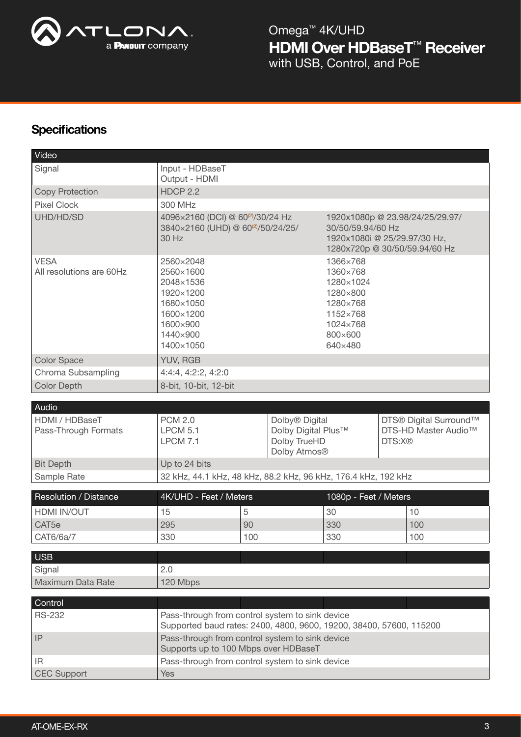

# HDMI Over HDBaseT<sup>™</sup> Receiver Omega™ 4K/UHD with USB, Control, and PoE

# **Specifications**

| Video                                           |                                                                                                                        |     |                                                                                                         |                                                                                                                       |                                                          |     |
|-------------------------------------------------|------------------------------------------------------------------------------------------------------------------------|-----|---------------------------------------------------------------------------------------------------------|-----------------------------------------------------------------------------------------------------------------------|----------------------------------------------------------|-----|
| Signal                                          | Input - HDBaseT<br>Output - HDMI                                                                                       |     |                                                                                                         |                                                                                                                       |                                                          |     |
| <b>Copy Protection</b>                          | <b>HDCP 2.2</b>                                                                                                        |     |                                                                                                         |                                                                                                                       |                                                          |     |
| <b>Pixel Clock</b>                              | 300 MHz                                                                                                                |     |                                                                                                         |                                                                                                                       |                                                          |     |
| UHD/HD/SD                                       | 4096×2160 (DCI) @ 60 <sup>(2)</sup> /30/24 Hz<br>3840×2160 (UHD) @ 60 <sup>(2)</sup> /50/24/25/<br>30 Hz               |     |                                                                                                         | 1920x1080p @ 23.98/24/25/29.97/<br>30/50/59.94/60 Hz<br>1920x1080i @ 25/29.97/30 Hz,<br>1280x720p @ 30/50/59.94/60 Hz |                                                          |     |
| <b>VESA</b><br>All resolutions are 60Hz         | 2560×2048<br>2560×1600<br>2048×1536<br>1920×1200<br>1680×1050<br>1600×1200<br>1600×900<br>1440×900<br>1400×1050        |     | 1366×768<br>1360×768<br>1280×1024<br>1280×800<br>1280×768<br>1152×768<br>1024×768<br>800×600<br>640×480 |                                                                                                                       |                                                          |     |
| <b>Color Space</b>                              | YUV, RGB                                                                                                               |     |                                                                                                         |                                                                                                                       |                                                          |     |
| Chroma Subsampling                              | 4:4:4, 4:2:2, 4:2:0                                                                                                    |     |                                                                                                         |                                                                                                                       |                                                          |     |
| <b>Color Depth</b>                              | 8-bit, 10-bit, 12-bit                                                                                                  |     |                                                                                                         |                                                                                                                       |                                                          |     |
|                                                 |                                                                                                                        |     |                                                                                                         |                                                                                                                       |                                                          |     |
| Audio<br>HDMI / HDBaseT<br>Pass-Through Formats | <b>PCM 2.0</b><br><b>LPCM 5.1</b><br><b>LPCM 7.1</b>                                                                   |     | Dolby <sup>®</sup> Digital<br>Dolby Digital Plus™<br>Dolby TrueHD<br>Dolby Atmos <sup>®</sup>           |                                                                                                                       | DTS® Digital Surround™<br>DTS-HD Master Audio™<br>DTS:X® |     |
| <b>Bit Depth</b>                                | Up to 24 bits                                                                                                          |     |                                                                                                         |                                                                                                                       |                                                          |     |
| Sample Rate                                     | 32 kHz, 44.1 kHz, 48 kHz, 88.2 kHz, 96 kHz, 176.4 kHz, 192 kHz                                                         |     |                                                                                                         |                                                                                                                       |                                                          |     |
| Resolution / Distance                           | 4K/UHD - Feet / Meters                                                                                                 |     |                                                                                                         | 1080p - Feet / Meters                                                                                                 |                                                          |     |
| HDMI IN/OUT                                     | 15<br>5                                                                                                                |     | 30                                                                                                      |                                                                                                                       |                                                          | 10  |
| CAT <sub>5e</sub>                               | 295                                                                                                                    | 90  |                                                                                                         | 330                                                                                                                   |                                                          | 100 |
| CAT6/6a/7                                       | 330                                                                                                                    | 100 |                                                                                                         | 330                                                                                                                   |                                                          | 100 |
|                                                 |                                                                                                                        |     |                                                                                                         |                                                                                                                       |                                                          |     |
| <b>USB</b>                                      |                                                                                                                        |     |                                                                                                         |                                                                                                                       |                                                          |     |
| Signal<br>Maximum Data Rate                     | 2.0                                                                                                                    |     |                                                                                                         |                                                                                                                       |                                                          |     |
|                                                 | 120 Mbps                                                                                                               |     |                                                                                                         |                                                                                                                       |                                                          |     |
| Control                                         |                                                                                                                        |     |                                                                                                         |                                                                                                                       |                                                          |     |
| <b>RS-232</b>                                   | Pass-through from control system to sink device<br>Supported baud rates: 2400, 4800, 9600, 19200, 38400, 57600, 115200 |     |                                                                                                         |                                                                                                                       |                                                          |     |
| IP                                              | Pass-through from control system to sink device<br>Supports up to 100 Mbps over HDBaseT                                |     |                                                                                                         |                                                                                                                       |                                                          |     |
| IR                                              | Pass-through from control system to sink device                                                                        |     |                                                                                                         |                                                                                                                       |                                                          |     |
| <b>CEC Support</b>                              | Yes                                                                                                                    |     |                                                                                                         |                                                                                                                       |                                                          |     |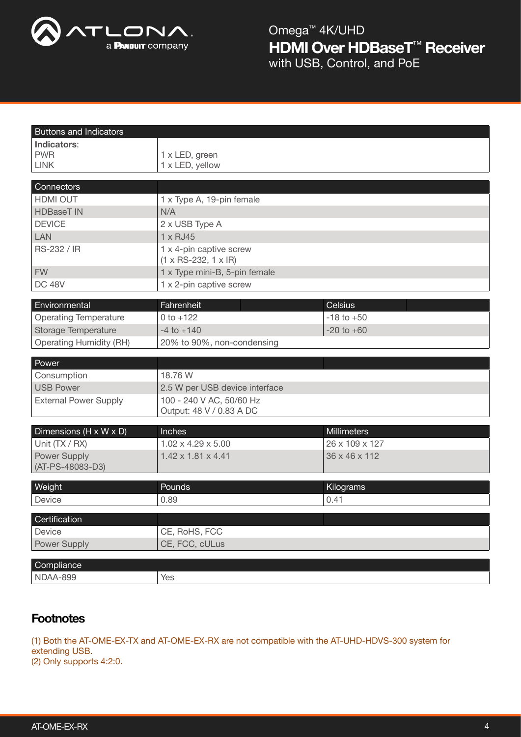

HDMI Over HDBaseT™ Receiver Omega™ 4K/UHD with USB, Control, and PoE

| <b>Buttons and Indicators</b>                 |                                                             |                |  |  |  |
|-----------------------------------------------|-------------------------------------------------------------|----------------|--|--|--|
| Indicators:                                   |                                                             |                |  |  |  |
| <b>PWR</b>                                    | 1 x LED, green                                              |                |  |  |  |
| <b>LINK</b>                                   | 1 x LED, yellow                                             |                |  |  |  |
| Connectors                                    |                                                             |                |  |  |  |
| HDMI OUT                                      | 1 x Type A, 19-pin female                                   |                |  |  |  |
| <b>HDBaseT IN</b>                             | N/A                                                         |                |  |  |  |
| <b>DEVICE</b>                                 | 2 x USB Type A                                              |                |  |  |  |
| <b>LAN</b>                                    | 1 x RJ45                                                    |                |  |  |  |
| RS-232 / IR                                   | 1 x 4-pin captive screw<br>$(1 \times RS-232, 1 \times IR)$ |                |  |  |  |
| <b>FW</b>                                     | 1 x Type mini-B, 5-pin female                               |                |  |  |  |
| <b>DC 48V</b>                                 | 1 x 2-pin captive screw                                     |                |  |  |  |
|                                               | Fahrenheit                                                  | Celsius        |  |  |  |
| Environmental<br><b>Operating Temperature</b> | $0 to +122$                                                 | $-18$ to $+50$ |  |  |  |
| Storage Temperature                           | $-4$ to $+140$                                              | $-20$ to $+60$ |  |  |  |
| <b>Operating Humidity (RH)</b>                | 20% to 90%, non-condensing                                  |                |  |  |  |
|                                               |                                                             |                |  |  |  |
| Power                                         |                                                             |                |  |  |  |
| Consumption                                   | 18.76 W                                                     |                |  |  |  |
| <b>USB Power</b>                              | 2.5 W per USB device interface                              |                |  |  |  |
| <b>External Power Supply</b>                  | 100 - 240 V AC, 50/60 Hz<br>Output: 48 V / 0.83 A DC        |                |  |  |  |
|                                               |                                                             |                |  |  |  |
| Dimensions (H x W x D)                        | Inches                                                      | Millimeters    |  |  |  |
| Unit (TX / RX)                                | $1.02 \times 4.29 \times 5.00$                              | 26 x 109 x 127 |  |  |  |
| Power Supply                                  | $1.42 \times 1.81 \times 4.41$<br>36 x 46 x 112             |                |  |  |  |
| (AT-PS-48083-D3)                              |                                                             |                |  |  |  |
| Weight                                        | Pounds                                                      | Kilograms      |  |  |  |
| Device                                        | 0.89                                                        | 0.41           |  |  |  |
| Certification                                 |                                                             |                |  |  |  |
| Device                                        | CE, RoHS, FCC                                               |                |  |  |  |
| Power Supply                                  | CE, FCC, cULus                                              |                |  |  |  |
|                                               |                                                             |                |  |  |  |
| Compliance                                    |                                                             |                |  |  |  |
| NDAA-899                                      | Yes                                                         |                |  |  |  |

## **Footnotes**

(1) Both the AT-OME-EX-TX and AT-OME-EX-RX are not compatible with the AT-UHD-HDVS-300 system for extending USB.

(2) Only supports 4:2:0.